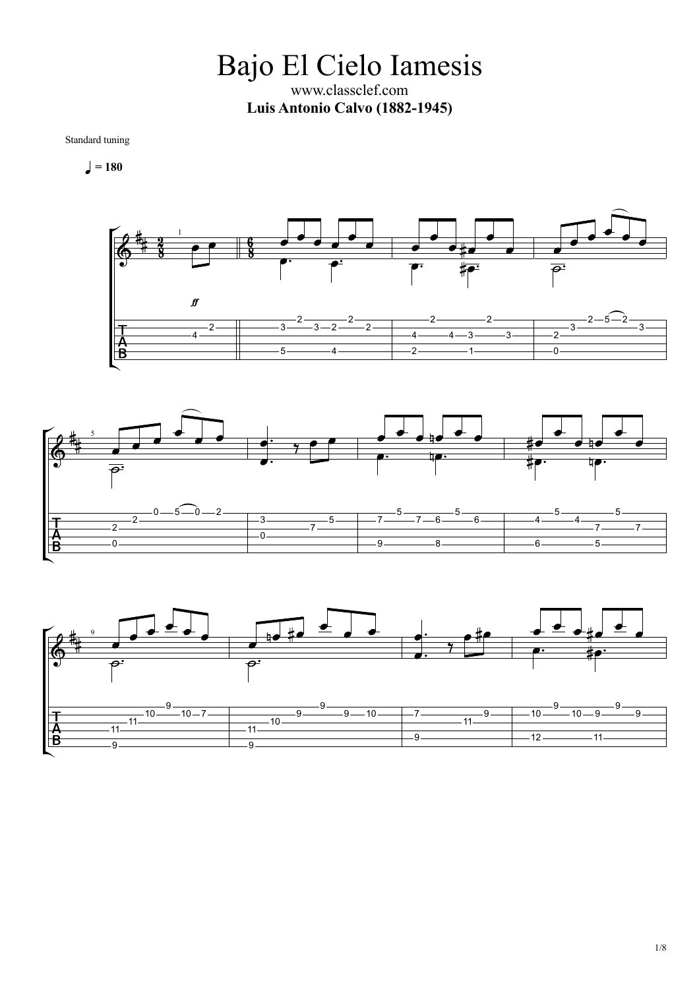Bajo El Cielo Iamesis www.classclef.com **Luis Antonio Calvo (1882-1945)**

Standard tuning

$$
\blacksquare = 180
$$





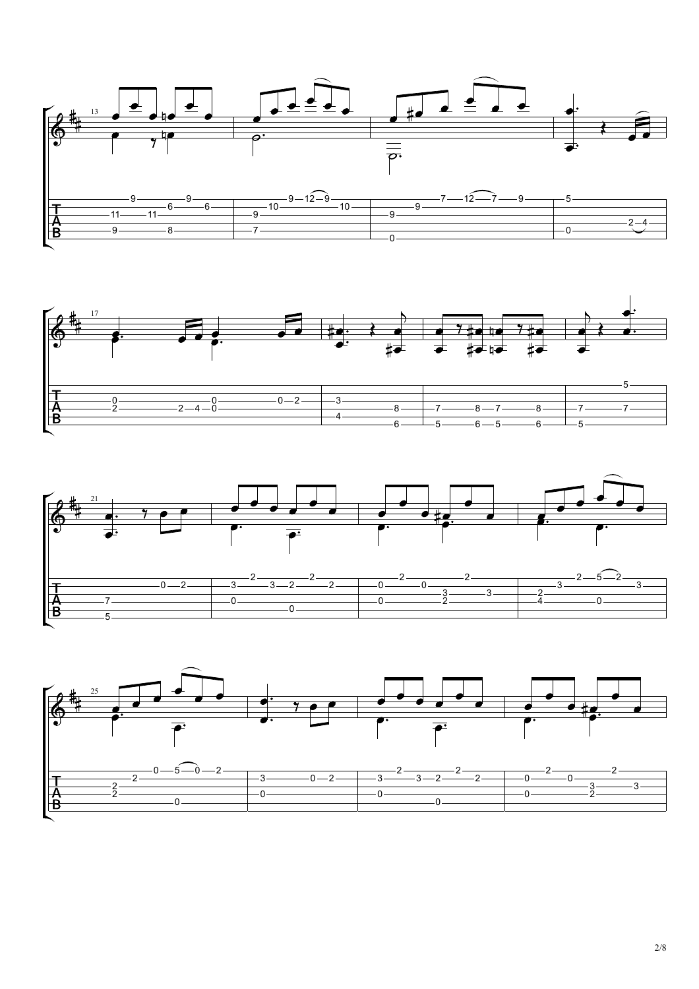





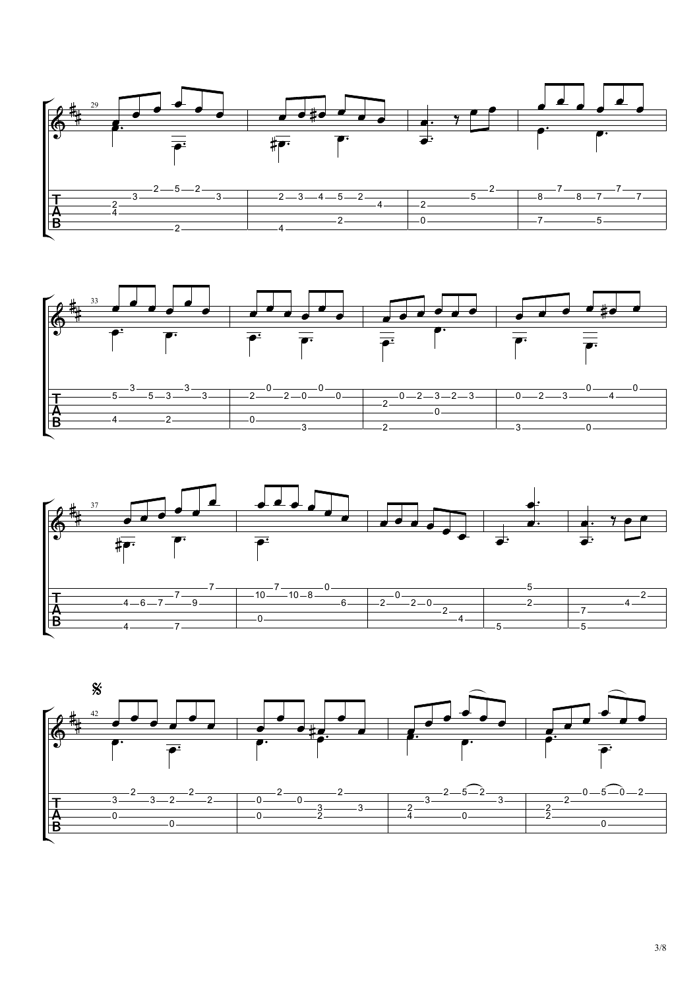





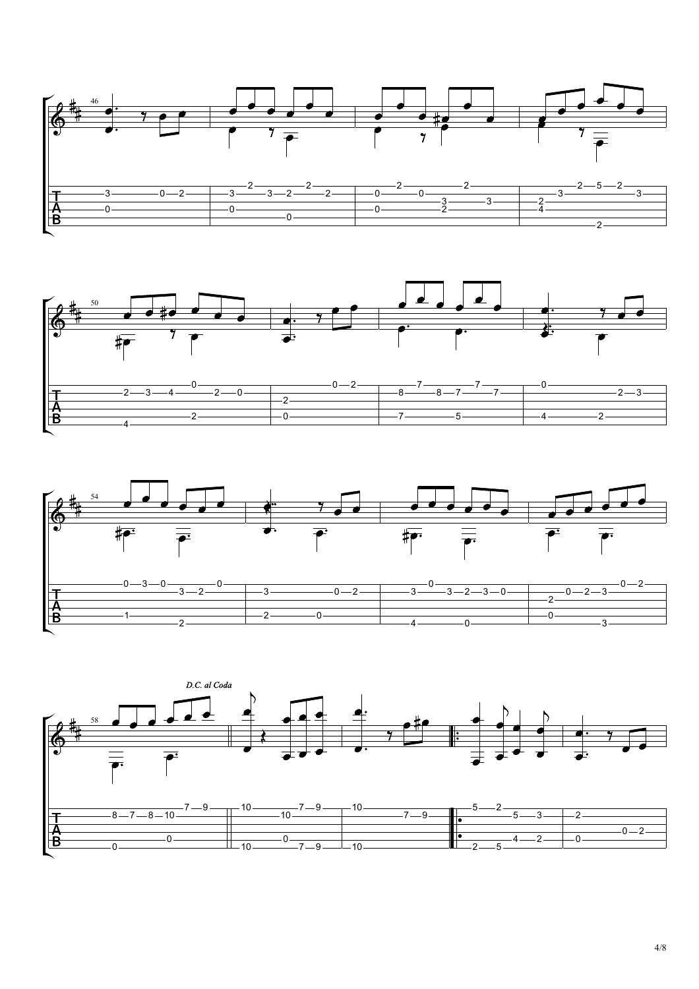





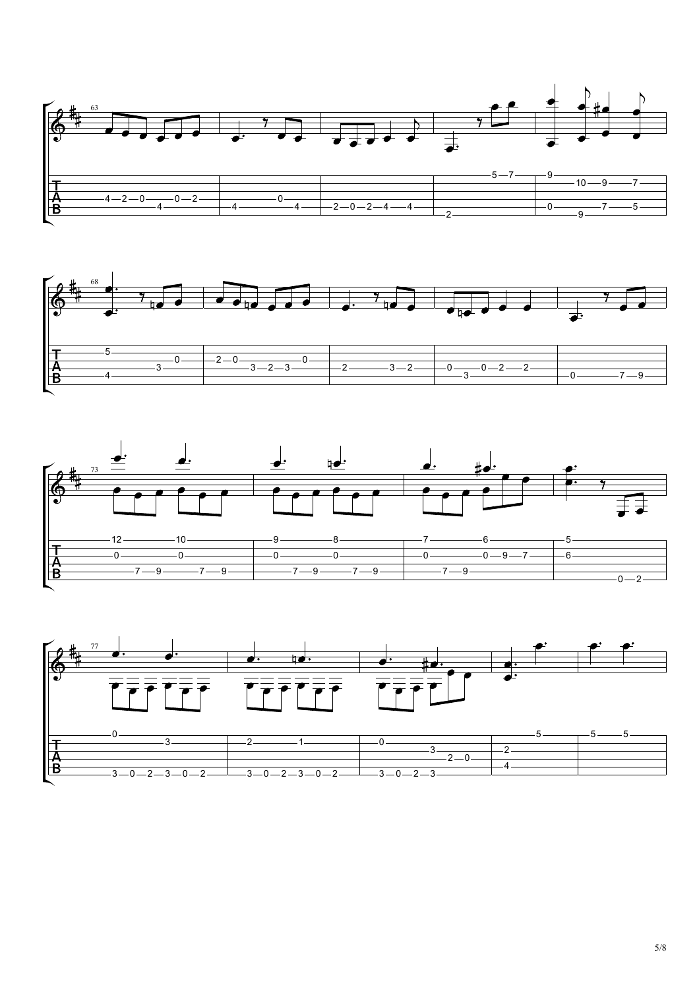





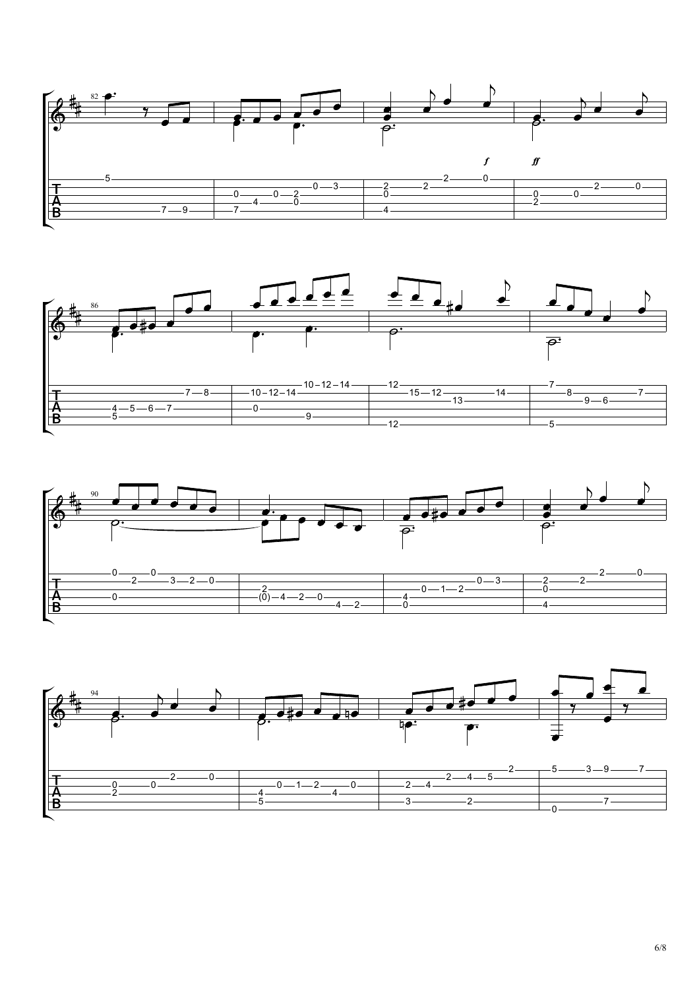





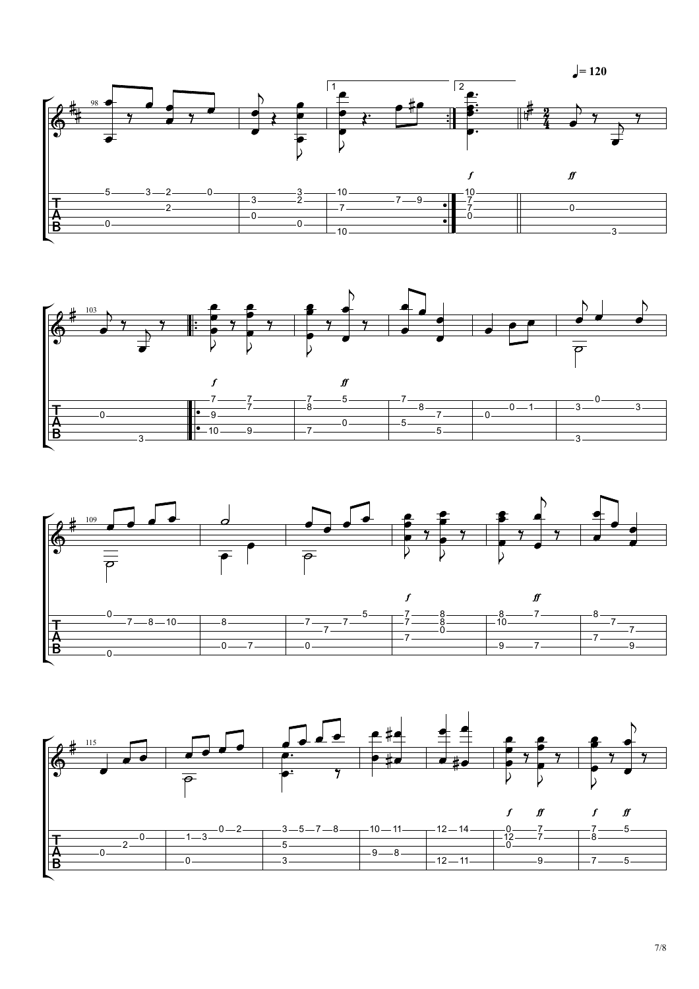